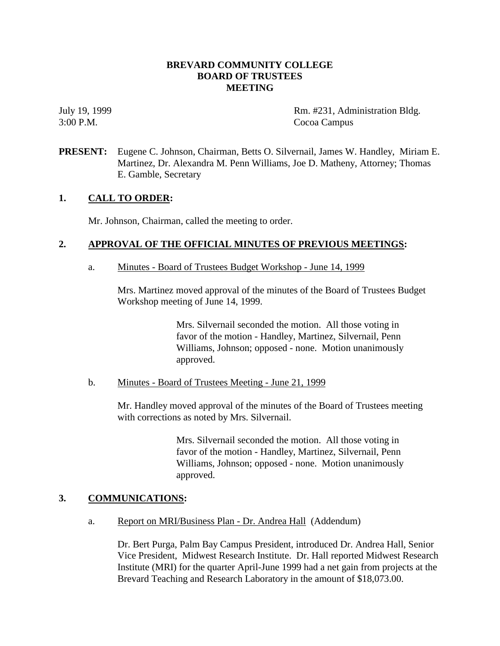## **BREVARD COMMUNITY COLLEGE BOARD OF TRUSTEES MEETING**

July 19, 1999 **Rm. #231, Administration Bldg.** 3:00 P.M. Cocoa Campus

**PRESENT:** Eugene C. Johnson, Chairman, Betts O. Silvernail, James W. Handley, Miriam E. Martinez, Dr. Alexandra M. Penn Williams, Joe D. Matheny, Attorney; Thomas E. Gamble, Secretary

## **1. CALL TO ORDER:**

Mr. Johnson, Chairman, called the meeting to order.

### **2. APPROVAL OF THE OFFICIAL MINUTES OF PREVIOUS MEETINGS:**

a. Minutes - Board of Trustees Budget Workshop - June 14, 1999

Mrs. Martinez moved approval of the minutes of the Board of Trustees Budget Workshop meeting of June 14, 1999.

> Mrs. Silvernail seconded the motion. All those voting in favor of the motion - Handley, Martinez, Silvernail, Penn Williams, Johnson; opposed - none. Motion unanimously approved.

### b. Minutes - Board of Trustees Meeting - June 21, 1999

Mr. Handley moved approval of the minutes of the Board of Trustees meeting with corrections as noted by Mrs. Silvernail.

> Mrs. Silvernail seconded the motion. All those voting in favor of the motion - Handley, Martinez, Silvernail, Penn Williams, Johnson; opposed - none. Motion unanimously approved.

### **3. COMMUNICATIONS:**

a. Report on MRI/Business Plan - Dr. Andrea Hall (Addendum)

Dr. Bert Purga, Palm Bay Campus President, introduced Dr. Andrea Hall, Senior Vice President, Midwest Research Institute. Dr. Hall reported Midwest Research Institute (MRI) for the quarter April-June 1999 had a net gain from projects at the Brevard Teaching and Research Laboratory in the amount of \$18,073.00.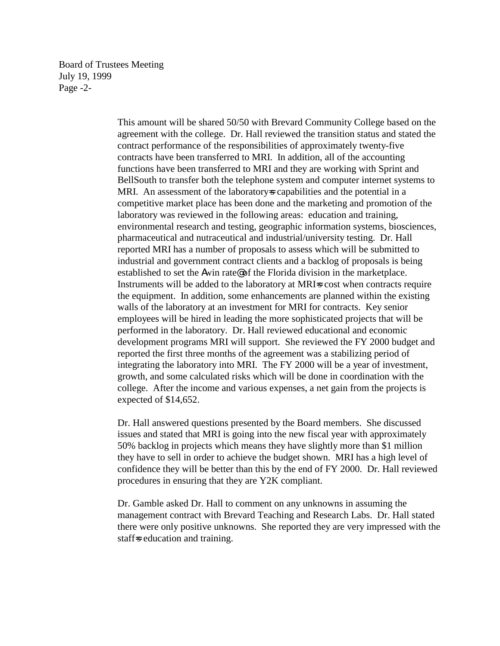Board of Trustees Meeting July 19, 1999 Page -2-

> This amount will be shared 50/50 with Brevard Community College based on the agreement with the college. Dr. Hall reviewed the transition status and stated the contract performance of the responsibilities of approximately twenty-five contracts have been transferred to MRI. In addition, all of the accounting functions have been transferred to MRI and they are working with Sprint and BellSouth to transfer both the telephone system and computer internet systems to MRI. An assessment of the laboratory-s capabilities and the potential in a competitive market place has been done and the marketing and promotion of the laboratory was reviewed in the following areas: education and training, environmental research and testing, geographic information systems, biosciences, pharmaceutical and nutraceutical and industrial/university testing. Dr. Hall reported MRI has a number of proposals to assess which will be submitted to industrial and government contract clients and a backlog of proposals is being established to set the Awin rate@ of the Florida division in the marketplace. Instruments will be added to the laboratory at MRI=s cost when contracts require the equipment. In addition, some enhancements are planned within the existing walls of the laboratory at an investment for MRI for contracts. Key senior employees will be hired in leading the more sophisticated projects that will be performed in the laboratory. Dr. Hall reviewed educational and economic development programs MRI will support. She reviewed the FY 2000 budget and reported the first three months of the agreement was a stabilizing period of integrating the laboratory into MRI. The FY 2000 will be a year of investment, growth, and some calculated risks which will be done in coordination with the college. After the income and various expenses, a net gain from the projects is expected of \$14,652.

> Dr. Hall answered questions presented by the Board members. She discussed issues and stated that MRI is going into the new fiscal year with approximately 50% backlog in projects which means they have slightly more than \$1 million they have to sell in order to achieve the budget shown. MRI has a high level of confidence they will be better than this by the end of FY 2000. Dr. Hall reviewed procedures in ensuring that they are Y2K compliant.

> Dr. Gamble asked Dr. Hall to comment on any unknowns in assuming the management contract with Brevard Teaching and Research Labs. Dr. Hall stated there were only positive unknowns. She reported they are very impressed with the staff=s education and training.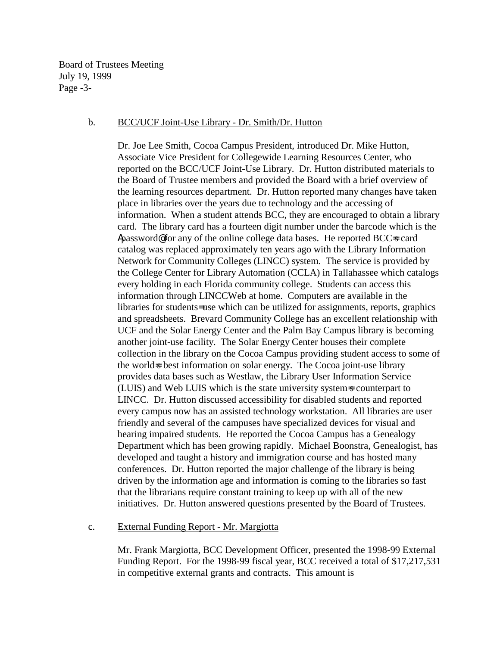Board of Trustees Meeting July 19, 1999 Page -3-

#### b. BCC/UCF Joint-Use Library - Dr. Smith/Dr. Hutton

Dr. Joe Lee Smith, Cocoa Campus President, introduced Dr. Mike Hutton, Associate Vice President for Collegewide Learning Resources Center, who reported on the BCC/UCF Joint-Use Library. Dr. Hutton distributed materials to the Board of Trustee members and provided the Board with a brief overview of the learning resources department. Dr. Hutton reported many changes have taken place in libraries over the years due to technology and the accessing of information. When a student attends BCC, they are encouraged to obtain a library card. The library card has a fourteen digit number under the barcode which is the Apassword@ for any of the online college data bases. He reported BCC=s card catalog was replaced approximately ten years ago with the Library Information Network for Community Colleges (LINCC) system. The service is provided by the College Center for Library Automation (CCLA) in Tallahassee which catalogs every holding in each Florida community college. Students can access this information through LINCCWeb at home. Computers are available in the libraries for students= use which can be utilized for assignments, reports, graphics and spreadsheets. Brevard Community College has an excellent relationship with UCF and the Solar Energy Center and the Palm Bay Campus library is becoming another joint-use facility. The Solar Energy Center houses their complete collection in the library on the Cocoa Campus providing student access to some of the world=s best information on solar energy. The Cocoa joint-use library provides data bases such as Westlaw, the Library User Information Service (LUIS) and Web LUIS which is the state university system=s counterpart to LINCC. Dr. Hutton discussed accessibility for disabled students and reported every campus now has an assisted technology workstation. All libraries are user friendly and several of the campuses have specialized devices for visual and hearing impaired students. He reported the Cocoa Campus has a Genealogy Department which has been growing rapidly. Michael Boonstra, Genealogist, has developed and taught a history and immigration course and has hosted many conferences. Dr. Hutton reported the major challenge of the library is being driven by the information age and information is coming to the libraries so fast that the librarians require constant training to keep up with all of the new initiatives. Dr. Hutton answered questions presented by the Board of Trustees.

### c. External Funding Report - Mr. Margiotta

Mr. Frank Margiotta, BCC Development Officer, presented the 1998-99 External Funding Report. For the 1998-99 fiscal year, BCC received a total of \$17,217,531 in competitive external grants and contracts. This amount is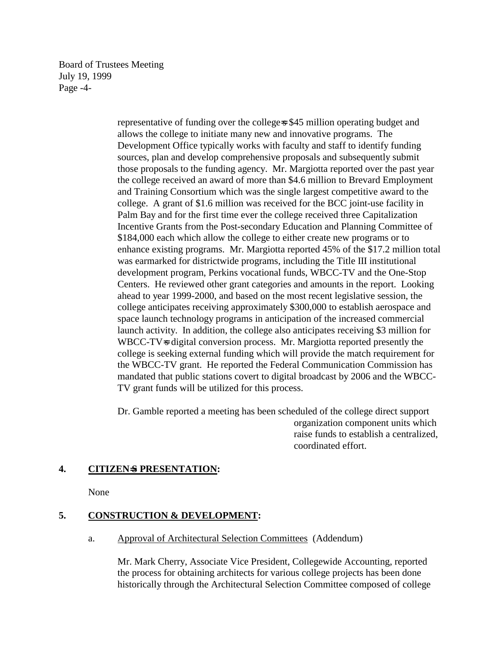Board of Trustees Meeting July 19, 1999 Page -4-

> representative of funding over the college-s \$45 million operating budget and allows the college to initiate many new and innovative programs. The Development Office typically works with faculty and staff to identify funding sources, plan and develop comprehensive proposals and subsequently submit those proposals to the funding agency. Mr. Margiotta reported over the past year the college received an award of more than \$4.6 million to Brevard Employment and Training Consortium which was the single largest competitive award to the college. A grant of \$1.6 million was received for the BCC joint-use facility in Palm Bay and for the first time ever the college received three Capitalization Incentive Grants from the Post-secondary Education and Planning Committee of \$184,000 each which allow the college to either create new programs or to enhance existing programs. Mr. Margiotta reported 45% of the \$17.2 million total was earmarked for districtwide programs, including the Title III institutional development program, Perkins vocational funds, WBCC-TV and the One-Stop Centers. He reviewed other grant categories and amounts in the report. Looking ahead to year 1999-2000, and based on the most recent legislative session, the college anticipates receiving approximately \$300,000 to establish aerospace and space launch technology programs in anticipation of the increased commercial launch activity. In addition, the college also anticipates receiving \$3 million for WBCC-TV-s digital conversion process. Mr. Margiotta reported presently the college is seeking external funding which will provide the match requirement for the WBCC-TV grant. He reported the Federal Communication Commission has mandated that public stations covert to digital broadcast by 2006 and the WBCC-TV grant funds will be utilized for this process.

> Dr. Gamble reported a meeting has been scheduled of the college direct support organization component units which raise funds to establish a centralized, coordinated effort.

### **4. CITIZEN**=**S PRESENTATION:**

None

# **5. CONSTRUCTION & DEVELOPMENT:**

a. Approval of Architectural Selection Committees (Addendum)

Mr. Mark Cherry, Associate Vice President, Collegewide Accounting, reported the process for obtaining architects for various college projects has been done historically through the Architectural Selection Committee composed of college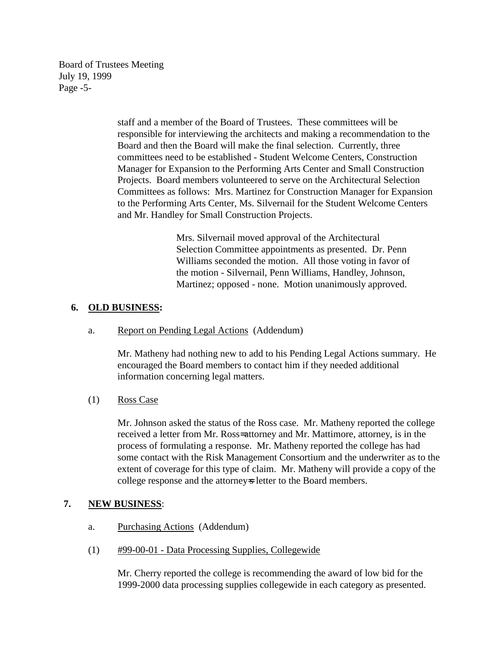Board of Trustees Meeting July 19, 1999 Page -5-

> staff and a member of the Board of Trustees. These committees will be responsible for interviewing the architects and making a recommendation to the Board and then the Board will make the final selection. Currently, three committees need to be established - Student Welcome Centers, Construction Manager for Expansion to the Performing Arts Center and Small Construction Projects. Board members volunteered to serve on the Architectural Selection Committees as follows: Mrs. Martinez for Construction Manager for Expansion to the Performing Arts Center, Ms. Silvernail for the Student Welcome Centers and Mr. Handley for Small Construction Projects.

> > Mrs. Silvernail moved approval of the Architectural Selection Committee appointments as presented. Dr. Penn Williams seconded the motion. All those voting in favor of the motion - Silvernail, Penn Williams, Handley, Johnson, Martinez; opposed - none. Motion unanimously approved.

## **6. OLD BUSINESS:**

a. Report on Pending Legal Actions (Addendum)

Mr. Matheny had nothing new to add to his Pending Legal Actions summary. He encouraged the Board members to contact him if they needed additional information concerning legal matters.

(1) Ross Case

Mr. Johnson asked the status of the Ross case. Mr. Matheny reported the college received a letter from Mr. Ross= attorney and Mr. Mattimore, attorney, is in the process of formulating a response. Mr. Matheny reported the college has had some contact with the Risk Management Consortium and the underwriter as to the extent of coverage for this type of claim. Mr. Matheny will provide a copy of the college response and the attorney is letter to the Board members.

### **7. NEW BUSINESS**:

- a. Purchasing Actions (Addendum)
- (1) #99-00-01 Data Processing Supplies, Collegewide

Mr. Cherry reported the college is recommending the award of low bid for the 1999-2000 data processing supplies collegewide in each category as presented.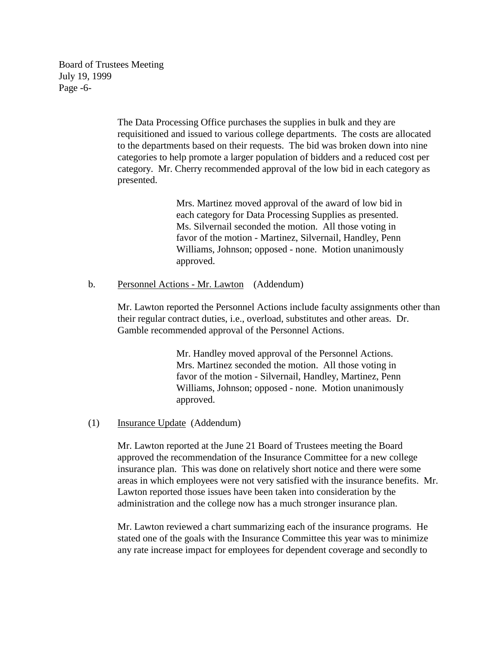Board of Trustees Meeting July 19, 1999 Page -6-

> The Data Processing Office purchases the supplies in bulk and they are requisitioned and issued to various college departments. The costs are allocated to the departments based on their requests. The bid was broken down into nine categories to help promote a larger population of bidders and a reduced cost per category. Mr. Cherry recommended approval of the low bid in each category as presented.

> > Mrs. Martinez moved approval of the award of low bid in each category for Data Processing Supplies as presented. Ms. Silvernail seconded the motion. All those voting in favor of the motion - Martinez, Silvernail, Handley, Penn Williams, Johnson; opposed - none. Motion unanimously approved.

b. Personnel Actions - Mr. Lawton (Addendum)

Mr. Lawton reported the Personnel Actions include faculty assignments other than their regular contract duties, i.e., overload, substitutes and other areas. Dr. Gamble recommended approval of the Personnel Actions.

> Mr. Handley moved approval of the Personnel Actions. Mrs. Martinez seconded the motion. All those voting in favor of the motion - Silvernail, Handley, Martinez, Penn Williams, Johnson; opposed - none. Motion unanimously approved.

(1) Insurance Update (Addendum)

Mr. Lawton reported at the June 21 Board of Trustees meeting the Board approved the recommendation of the Insurance Committee for a new college insurance plan. This was done on relatively short notice and there were some areas in which employees were not very satisfied with the insurance benefits. Mr. Lawton reported those issues have been taken into consideration by the administration and the college now has a much stronger insurance plan.

Mr. Lawton reviewed a chart summarizing each of the insurance programs. He stated one of the goals with the Insurance Committee this year was to minimize any rate increase impact for employees for dependent coverage and secondly to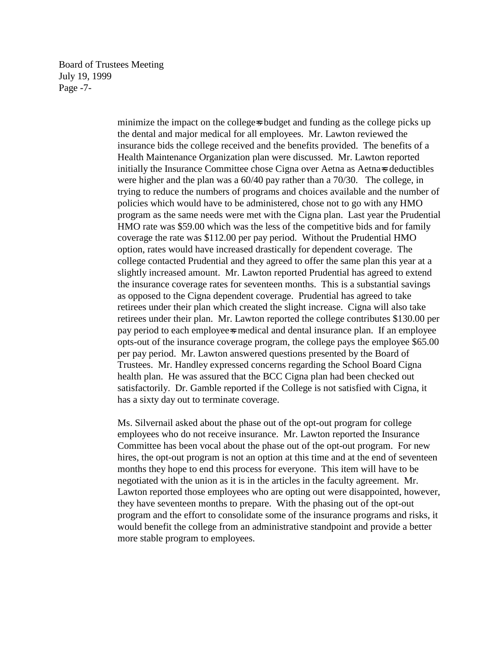Board of Trustees Meeting July 19, 1999 Page -7-

> minimize the impact on the college=s budget and funding as the college picks up the dental and major medical for all employees. Mr. Lawton reviewed the insurance bids the college received and the benefits provided. The benefits of a Health Maintenance Organization plan were discussed. Mr. Lawton reported initially the Insurance Committee chose Cigna over Aetna as Aetna=s deductibles were higher and the plan was a 60/40 pay rather than a 70/30. The college, in trying to reduce the numbers of programs and choices available and the number of policies which would have to be administered, chose not to go with any HMO program as the same needs were met with the Cigna plan. Last year the Prudential HMO rate was \$59.00 which was the less of the competitive bids and for family coverage the rate was \$112.00 per pay period. Without the Prudential HMO option, rates would have increased drastically for dependent coverage. The college contacted Prudential and they agreed to offer the same plan this year at a slightly increased amount. Mr. Lawton reported Prudential has agreed to extend the insurance coverage rates for seventeen months. This is a substantial savings as opposed to the Cigna dependent coverage. Prudential has agreed to take retirees under their plan which created the slight increase. Cigna will also take retirees under their plan. Mr. Lawton reported the college contributes \$130.00 per pay period to each employee=s medical and dental insurance plan. If an employee opts-out of the insurance coverage program, the college pays the employee \$65.00 per pay period. Mr. Lawton answered questions presented by the Board of Trustees. Mr. Handley expressed concerns regarding the School Board Cigna health plan. He was assured that the BCC Cigna plan had been checked out satisfactorily. Dr. Gamble reported if the College is not satisfied with Cigna, it has a sixty day out to terminate coverage.

> Ms. Silvernail asked about the phase out of the opt-out program for college employees who do not receive insurance. Mr. Lawton reported the Insurance Committee has been vocal about the phase out of the opt-out program. For new hires, the opt-out program is not an option at this time and at the end of seventeen months they hope to end this process for everyone. This item will have to be negotiated with the union as it is in the articles in the faculty agreement. Mr. Lawton reported those employees who are opting out were disappointed, however, they have seventeen months to prepare. With the phasing out of the opt-out program and the effort to consolidate some of the insurance programs and risks, it would benefit the college from an administrative standpoint and provide a better more stable program to employees.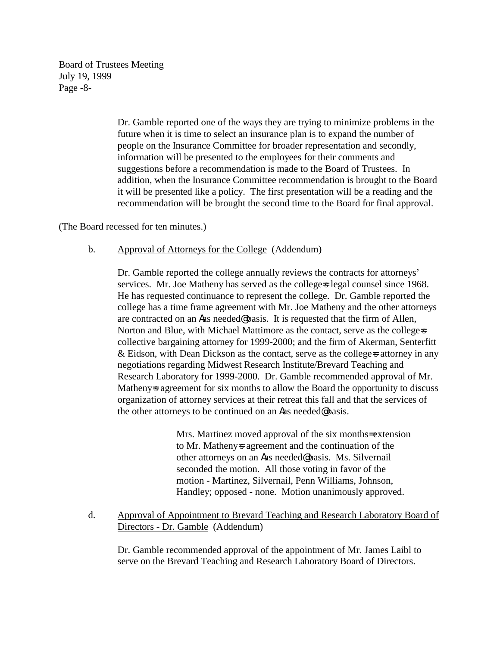Board of Trustees Meeting July 19, 1999 Page -8-

> Dr. Gamble reported one of the ways they are trying to minimize problems in the future when it is time to select an insurance plan is to expand the number of people on the Insurance Committee for broader representation and secondly, information will be presented to the employees for their comments and suggestions before a recommendation is made to the Board of Trustees. In addition, when the Insurance Committee recommendation is brought to the Board it will be presented like a policy. The first presentation will be a reading and the recommendation will be brought the second time to the Board for final approval.

(The Board recessed for ten minutes.)

#### b. Approval of Attorneys for the College (Addendum)

Dr. Gamble reported the college annually reviews the contracts for attorneys' services. Mr. Joe Matheny has served as the college-s legal counsel since 1968. He has requested continuance to represent the college. Dr. Gamble reported the college has a time frame agreement with Mr. Joe Matheny and the other attorneys are contracted on an Aas needed@ basis. It is requested that the firm of Allen, Norton and Blue, with Michael Mattimore as the contact, serve as the college-s collective bargaining attorney for 1999-2000; and the firm of Akerman, Senterfitt & Eidson, with Dean Dickson as the contact, serve as the college-s attorney in any negotiations regarding Midwest Research Institute/Brevard Teaching and Research Laboratory for 1999-2000. Dr. Gamble recommended approval of Mr. Matheny is agreement for six months to allow the Board the opportunity to discuss organization of attorney services at their retreat this fall and that the services of the other attorneys to be continued on an Aas needed@ basis.

> Mrs. Martinez moved approval of the six months= extension to Mr. Matheny=s agreement and the continuation of the other attorneys on an Aas needed@ basis. Ms. Silvernail seconded the motion. All those voting in favor of the motion - Martinez, Silvernail, Penn Williams, Johnson, Handley; opposed - none. Motion unanimously approved.

d. Approval of Appointment to Brevard Teaching and Research Laboratory Board of Directors - Dr. Gamble (Addendum)

Dr. Gamble recommended approval of the appointment of Mr. James Laibl to serve on the Brevard Teaching and Research Laboratory Board of Directors.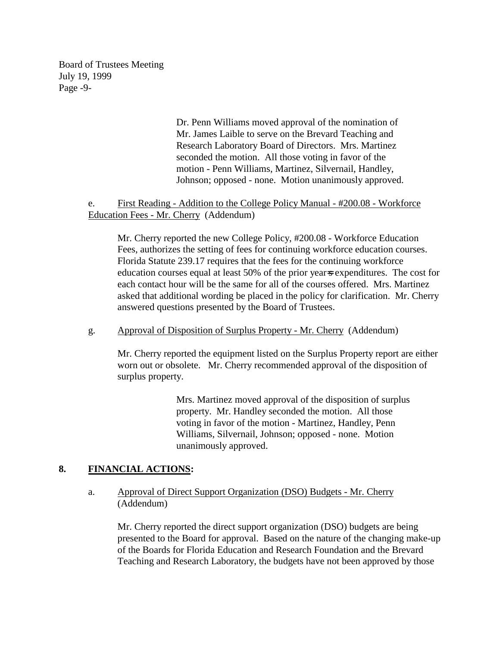Board of Trustees Meeting July 19, 1999 Page -9-

> Dr. Penn Williams moved approval of the nomination of Mr. James Laible to serve on the Brevard Teaching and Research Laboratory Board of Directors. Mrs. Martinez seconded the motion. All those voting in favor of the motion - Penn Williams, Martinez, Silvernail, Handley, Johnson; opposed - none. Motion unanimously approved.

e. First Reading - Addition to the College Policy Manual - #200.08 - Workforce Education Fees - Mr. Cherry (Addendum)

Mr. Cherry reported the new College Policy, #200.08 - Workforce Education Fees, authorizes the setting of fees for continuing workforce education courses. Florida Statute 239.17 requires that the fees for the continuing workforce education courses equal at least 50% of the prior year=s expenditures. The cost for each contact hour will be the same for all of the courses offered. Mrs. Martinez asked that additional wording be placed in the policy for clarification. Mr. Cherry answered questions presented by the Board of Trustees.

#### g. Approval of Disposition of Surplus Property - Mr. Cherry (Addendum)

Mr. Cherry reported the equipment listed on the Surplus Property report are either worn out or obsolete. Mr. Cherry recommended approval of the disposition of surplus property.

> Mrs. Martinez moved approval of the disposition of surplus property. Mr. Handley seconded the motion. All those voting in favor of the motion - Martinez, Handley, Penn Williams, Silvernail, Johnson; opposed - none. Motion unanimously approved.

### **8. FINANCIAL ACTIONS:**

#### a. Approval of Direct Support Organization (DSO) Budgets - Mr. Cherry (Addendum)

Mr. Cherry reported the direct support organization (DSO) budgets are being presented to the Board for approval. Based on the nature of the changing make-up of the Boards for Florida Education and Research Foundation and the Brevard Teaching and Research Laboratory, the budgets have not been approved by those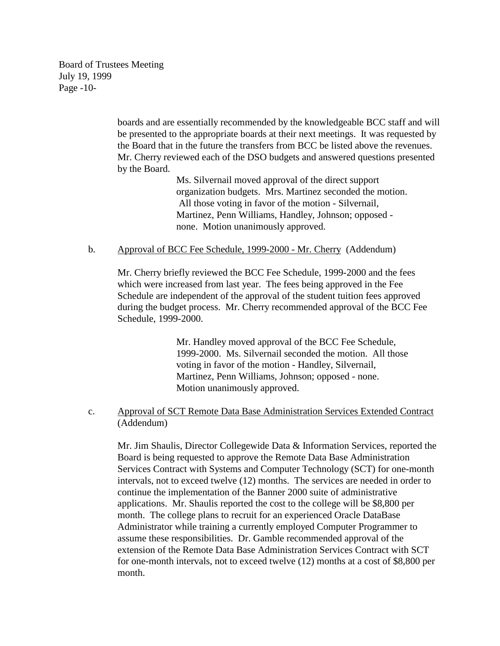Board of Trustees Meeting July 19, 1999 Page -10-

> boards and are essentially recommended by the knowledgeable BCC staff and will be presented to the appropriate boards at their next meetings. It was requested by the Board that in the future the transfers from BCC be listed above the revenues. Mr. Cherry reviewed each of the DSO budgets and answered questions presented by the Board.

> > Ms. Silvernail moved approval of the direct support organization budgets. Mrs. Martinez seconded the motion. All those voting in favor of the motion - Silvernail, Martinez, Penn Williams, Handley, Johnson; opposed none. Motion unanimously approved.

#### b. Approval of BCC Fee Schedule, 1999-2000 - Mr. Cherry (Addendum)

Mr. Cherry briefly reviewed the BCC Fee Schedule, 1999-2000 and the fees which were increased from last year. The fees being approved in the Fee Schedule are independent of the approval of the student tuition fees approved during the budget process. Mr. Cherry recommended approval of the BCC Fee Schedule, 1999-2000.

> Mr. Handley moved approval of the BCC Fee Schedule, 1999-2000. Ms. Silvernail seconded the motion. All those voting in favor of the motion - Handley, Silvernail, Martinez, Penn Williams, Johnson; opposed - none. Motion unanimously approved.

c. Approval of SCT Remote Data Base Administration Services Extended Contract (Addendum)

Mr. Jim Shaulis, Director Collegewide Data & Information Services, reported the Board is being requested to approve the Remote Data Base Administration Services Contract with Systems and Computer Technology (SCT) for one-month intervals, not to exceed twelve (12) months. The services are needed in order to continue the implementation of the Banner 2000 suite of administrative applications. Mr. Shaulis reported the cost to the college will be \$8,800 per month. The college plans to recruit for an experienced Oracle DataBase Administrator while training a currently employed Computer Programmer to assume these responsibilities. Dr. Gamble recommended approval of the extension of the Remote Data Base Administration Services Contract with SCT for one-month intervals, not to exceed twelve (12) months at a cost of \$8,800 per month.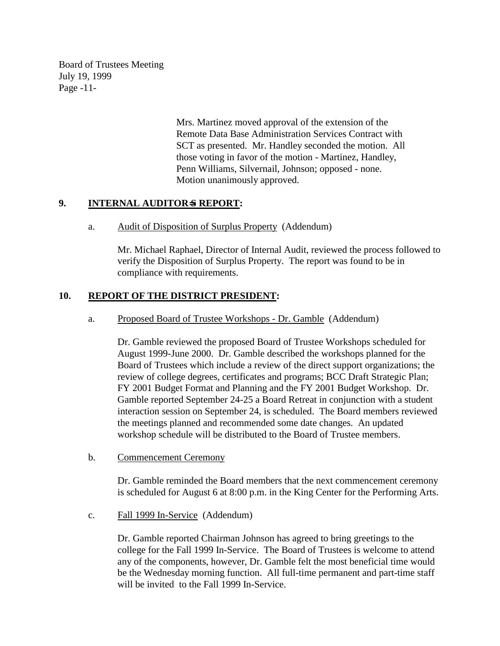Board of Trustees Meeting July 19, 1999 Page -11-

> Mrs. Martinez moved approval of the extension of the Remote Data Base Administration Services Contract with SCT as presented. Mr. Handley seconded the motion. All those voting in favor of the motion - Martinez, Handley, Penn Williams, Silvernail, Johnson; opposed - none. Motion unanimously approved.

# **9. INTERNAL AUDITOR**=**S REPORT:**

a. Audit of Disposition of Surplus Property (Addendum)

Mr. Michael Raphael, Director of Internal Audit, reviewed the process followed to verify the Disposition of Surplus Property. The report was found to be in compliance with requirements.

# **10. REPORT OF THE DISTRICT PRESIDENT:**

a. Proposed Board of Trustee Workshops - Dr. Gamble (Addendum)

Dr. Gamble reviewed the proposed Board of Trustee Workshops scheduled for August 1999-June 2000. Dr. Gamble described the workshops planned for the Board of Trustees which include a review of the direct support organizations; the review of college degrees, certificates and programs; BCC Draft Strategic Plan; FY 2001 Budget Format and Planning and the FY 2001 Budget Workshop. Dr. Gamble reported September 24-25 a Board Retreat in conjunction with a student interaction session on September 24, is scheduled. The Board members reviewed the meetings planned and recommended some date changes. An updated workshop schedule will be distributed to the Board of Trustee members.

b. Commencement Ceremony

Dr. Gamble reminded the Board members that the next commencement ceremony is scheduled for August 6 at 8:00 p.m. in the King Center for the Performing Arts.

c. Fall 1999 In-Service (Addendum)

Dr. Gamble reported Chairman Johnson has agreed to bring greetings to the college for the Fall 1999 In-Service. The Board of Trustees is welcome to attend any of the components, however, Dr. Gamble felt the most beneficial time would be the Wednesday morning function. All full-time permanent and part-time staff will be invited to the Fall 1999 In-Service.